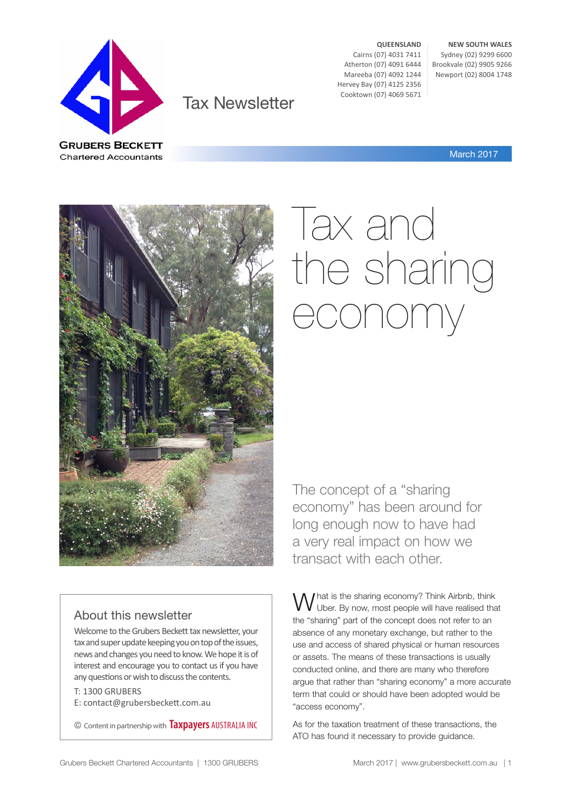

Tax Newsletter

**QUEENSLAND** Cairns (07) 4031 7411 Atherton (07) 4091 6444 Mareeba (07) 4092 1244 Hervey Bay (07) 4125 2356 Cooktown (07) 4069 5671

**NEW SOUTH WALES** Sydney (02) 9299 6600 Brookvale (02) 9905 9266 Newport (02) 8004 1748

March 2017



# Tax and the sharing economy

The concept of a "sharing economy" has been around for long enough now to have had a very real impact on how we transact with each other.

#### About this newsletter

Welcome to the Grubers Beckett tax newsletter, your tax and super update keeping you on top of the issues, news and changes you need to know. We hope it is of interest and encourage you to contact us if you have any questions or wish to discuss the contents.

T: 1300 GRUBERS

E: contact@grubersbeckett.com.au

© Content in partnership with **Taxpayers** AUSTRALIA INC

What is the sharing economy? Think Airbnb, think<br>W Uber. By now, most people will have realised that the "sharing" part of the concept does not refer to an absence of any monetary exchange, but rather to the use and access of shared physical or human resources or assets. The means of these transactions is usually conducted online, and there are many who therefore argue that rather than "sharing economy" a more accurate term that could or should have been adopted would be "access economy".

As for the taxation treatment of these transactions, the ATO has found it necessary to provide guidance.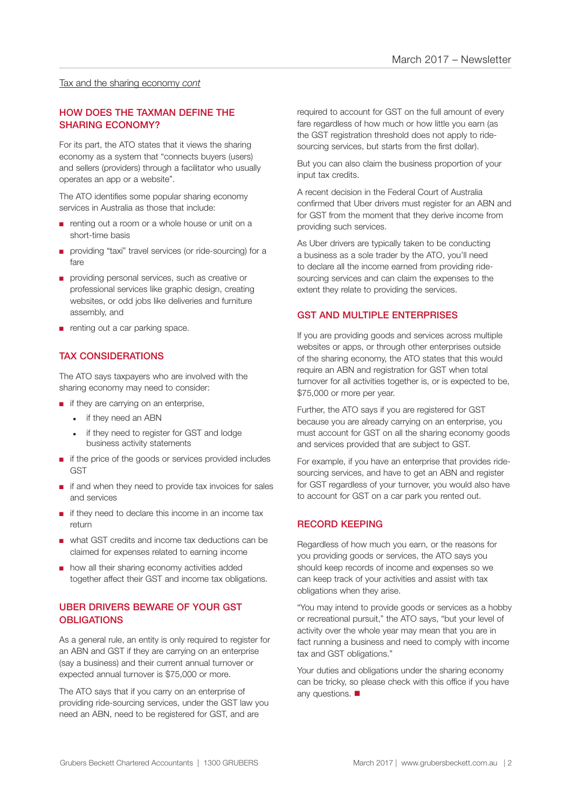#### Tax and the sharing economy *cont*

#### HOW DOES THE TAXMAN DEFINE THE SHARING ECONOMY?

For its part, the ATO states that it views the sharing economy as a system that "connects buyers (users) and sellers (providers) through a facilitator who usually operates an app or a website".

The ATO identifies some popular sharing economy services in Australia as those that include:

- renting out a room or a whole house or unit on a short-time basis
- providing "taxi" travel services (or ride-sourcing) for a fare
- providing personal services, such as creative or professional services like graphic design, creating websites, or odd jobs like deliveries and furniture assembly, and
- renting out a car parking space.

#### TAX CONSIDERATIONS

The ATO says taxpayers who are involved with the sharing economy may need to consider:

- if they are carrying on an enterprise,
	- if they need an ABN
	- if they need to register for GST and lodge business activity statements
- if the price of the goods or services provided includes **GST**
- if and when they need to provide tax invoices for sales and services
- if they need to declare this income in an income tax return
- what GST credits and income tax deductions can be claimed for expenses related to earning income
- how all their sharing economy activities added together affect their GST and income tax obligations.

#### UBER DRIVERS BEWARE OF YOUR GST **OBLIGATIONS**

As a general rule, an entity is only required to register for an ABN and GST if they are carrying on an enterprise (say a business) and their current annual turnover or expected annual turnover is \$75,000 or more.

The ATO says that if you carry on an enterprise of providing ride-sourcing services, under the GST law you need an ABN, need to be registered for GST, and are

required to account for GST on the full amount of every fare regardless of how much or how little you earn (as the GST registration threshold does not apply to ridesourcing services, but starts from the first dollar).

But you can also claim the business proportion of your input tax credits.

A recent decision in the Federal Court of Australia confirmed that Uber drivers must register for an ABN and for GST from the moment that they derive income from providing such services.

As Uber drivers are typically taken to be conducting a business as a sole trader by the ATO, you'll need to declare all the income earned from providing ridesourcing services and can claim the expenses to the extent they relate to providing the services.

#### GST AND MULTIPLE ENTERPRISES

If you are providing goods and services across multiple websites or apps, or through other enterprises outside of the sharing economy, the ATO states that this would require an ABN and registration for GST when total turnover for all activities together is, or is expected to be, \$75,000 or more per year.

Further, the ATO says if you are registered for GST because you are already carrying on an enterprise, you must account for GST on all the sharing economy goods and services provided that are subject to GST.

For example, if you have an enterprise that provides ridesourcing services, and have to get an ABN and register for GST regardless of your turnover, you would also have to account for GST on a car park you rented out.

#### RECORD KEEPING

Regardless of how much you earn, or the reasons for you providing goods or services, the ATO says you should keep records of income and expenses so we can keep track of your activities and assist with tax obligations when they arise.

"You may intend to provide goods or services as a hobby or recreational pursuit," the ATO says, "but your level of activity over the whole year may mean that you are in fact running a business and need to comply with income tax and GST obligations."

Your duties and obligations under the sharing economy can be tricky, so please check with this office if you have any questions.  $\blacksquare$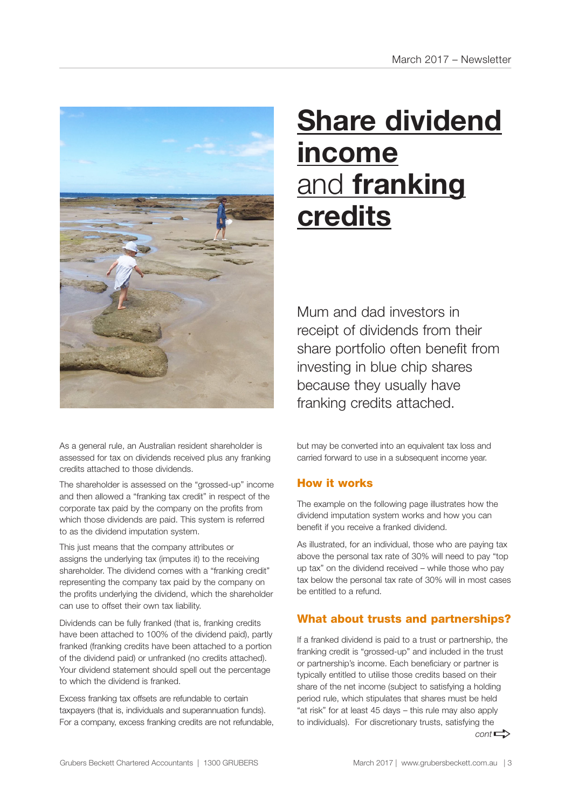

As a general rule, an Australian resident shareholder is assessed for tax on dividends received plus any franking credits attached to those dividends.

The shareholder is assessed on the "grossed-up" income and then allowed a "franking tax credit" in respect of the corporate tax paid by the company on the profits from which those dividends are paid. This system is referred to as the dividend imputation system.

This just means that the company attributes or assigns the underlying tax (imputes it) to the receiving shareholder. The dividend comes with a "franking credit" representing the company tax paid by the company on the profits underlying the dividend, which the shareholder can use to offset their own tax liability.

Dividends can be fully franked (that is, franking credits have been attached to 100% of the dividend paid), partly franked (franking credits have been attached to a portion of the dividend paid) or unfranked (no credits attached). Your dividend statement should spell out the percentage to which the dividend is franked.

Excess franking tax offsets are refundable to certain taxpayers (that is, individuals and superannuation funds). For a company, excess franking credits are not refundable,

# **Share dividend income** and **franking credits**

Mum and dad investors in receipt of dividends from their share portfolio often benefit from investing in blue chip shares because they usually have franking credits attached.

but may be converted into an equivalent tax loss and carried forward to use in a subsequent income year.

#### How it works

The example on the following page illustrates how the dividend imputation system works and how you can benefit if you receive a franked dividend.

As illustrated, for an individual, those who are paying tax above the personal tax rate of 30% will need to pay "top up tax" on the dividend received – while those who pay tax below the personal tax rate of 30% will in most cases be entitled to a refund.

#### What about trusts and partnerships?

If a franked dividend is paid to a trust or partnership, the franking credit is "grossed-up" and included in the trust or partnership's income. Each beneficiary or partner is typically entitled to utilise those credits based on their share of the net income (subject to satisfying a holding period rule, which stipulates that shares must be held "at risk" for at least 45 days – this rule may also apply to individuals). For discretionary trusts, satisfying the  $cont \rightarrow$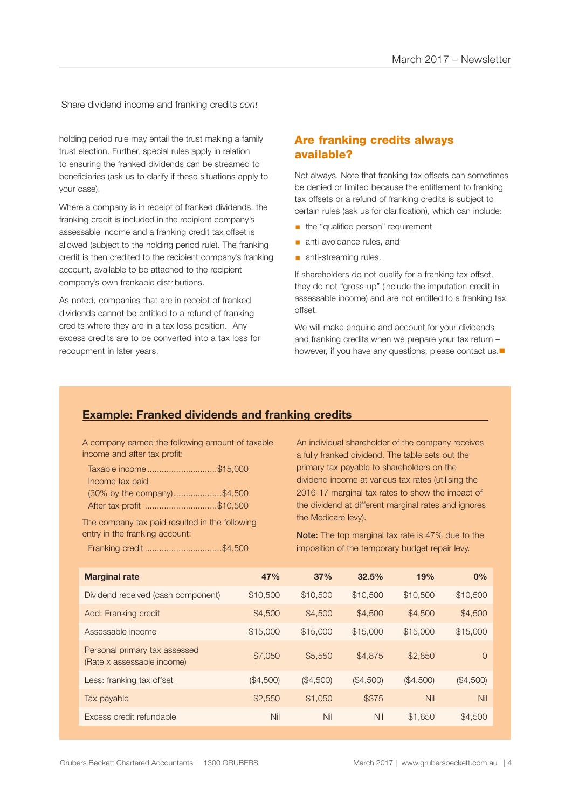#### Share dividend income and franking credits *cont*

holding period rule may entail the trust making a family trust election. Further, special rules apply in relation to ensuring the franked dividends can be streamed to beneficiaries (ask us to clarify if these situations apply to your case).

Where a company is in receipt of franked dividends, the franking credit is included in the recipient company's assessable income and a franking credit tax offset is allowed (subject to the holding period rule). The franking credit is then credited to the recipient company's franking account, available to be attached to the recipient company's own frankable distributions.

As noted, companies that are in receipt of franked dividends cannot be entitled to a refund of franking credits where they are in a tax loss position. Any excess credits are to be converted into a tax loss for recoupment in later years.

#### Are franking credits always available?

Not always. Note that franking tax offsets can sometimes be denied or limited because the entitlement to franking tax offsets or a refund of franking credits is subject to certain rules (ask us for clarification), which can include:

- the "qualified person" requirement
- **anti-avoidance rules, and**
- **anti-streaming rules.**

If shareholders do not qualify for a franking tax offset, they do not "gross-up" (include the imputation credit in assessable income) and are not entitled to a franking tax offset.

We will make enquirie and account for your dividends and franking credits when we prepare your tax return – however, if you have any questions, please contact us. $\blacksquare$ 

#### **Example: Franked dividends and franking credits**

A company earned the following amount of taxable income and after tax profit:

| Taxable income\$15,000      |  |
|-----------------------------|--|
| Income tax paid             |  |
| (30% by the company)\$4,500 |  |
| After tax profit \$10,500   |  |

The company tax paid resulted in the following entry in the franking account:

Franking credit ................................\$4,500

An individual shareholder of the company receives a fully franked dividend. The table sets out the primary tax payable to shareholders on the dividend income at various tax rates (utilising the 2016-17 marginal tax rates to show the impact of the dividend at different marginal rates and ignores the Medicare levy).

Note: The top marginal tax rate is 47% due to the imposition of the temporary budget repair levy.

| <b>Marginal rate</b>                                        | 47%       | 37%       | 32.5%     | 19%       | 0%        |
|-------------------------------------------------------------|-----------|-----------|-----------|-----------|-----------|
| Dividend received (cash component)                          | \$10,500  | \$10,500  | \$10,500  | \$10,500  | \$10,500  |
| Add: Franking credit                                        | \$4,500   | \$4,500   | \$4,500   | \$4,500   | \$4,500   |
| Assessable income                                           | \$15,000  | \$15,000  | \$15,000  | \$15,000  | \$15,000  |
| Personal primary tax assessed<br>(Rate x assessable income) | \$7,050   | \$5,550   | \$4,875   | \$2,850   | $\Omega$  |
| Less: franking tax offset                                   | (\$4,500) | (\$4,500) | (\$4,500) | (\$4,500) | (\$4,500) |
| Tax payable                                                 | \$2,550   | \$1,050   | \$375     | Nil       | Nil       |
| Excess credit refundable                                    | Nil       | Nil       | Nil       | \$1,650   | \$4,500   |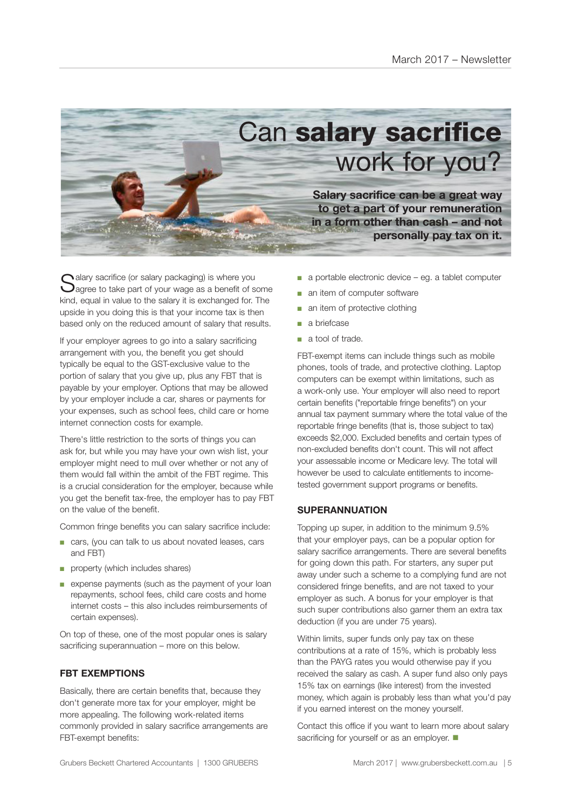

 $\bigcap$  alary sacrifice (or salary packaging) is where you  $\bigcup$ agree to take part of your wage as a benefit of some kind, equal in value to the salary it is exchanged for. The upside in you doing this is that your income tax is then based only on the reduced amount of salary that results.

If your employer agrees to go into a salary sacrificing arrangement with you, the benefit you get should typically be equal to the GST-exclusive value to the portion of salary that you give up, plus any FBT that is payable by your employer. Options that may be allowed by your employer include a car, shares or payments for your expenses, such as school fees, child care or home internet connection costs for example.

There's little restriction to the sorts of things you can ask for, but while you may have your own wish list, your employer might need to mull over whether or not any of them would fall within the ambit of the FBT regime. This is a crucial consideration for the employer, because while you get the benefit tax-free, the employer has to pay FBT on the value of the benefit.

Common fringe benefits you can salary sacrifice include:

- cars, (you can talk to us about novated leases, cars and FBT)
- property (which includes shares)
- expense payments (such as the payment of your loan repayments, school fees, child care costs and home internet costs – this also includes reimbursements of certain expenses).

On top of these, one of the most popular ones is salary sacrificing superannuation – more on this below.

#### **FBT EXEMPTIONS**

Basically, there are certain benefits that, because they don't generate more tax for your employer, might be more appealing. The following work-related items commonly provided in salary sacrifice arrangements are FBT-exempt benefits:

- a portable electronic device eg. a tablet computer
- an item of computer software
- an item of protective clothing
- a briefcase
- a tool of trade.

FBT-exempt items can include things such as mobile phones, tools of trade, and protective clothing. Laptop computers can be exempt within limitations, such as a work-only use. Your employer will also need to report certain benefits ("reportable fringe benefits") on your annual tax payment summary where the total value of the reportable fringe benefits (that is, those subject to tax) exceeds \$2,000. Excluded benefits and certain types of non-excluded benefits don't count. This will not affect your assessable income or Medicare levy. The total will however be used to calculate entitlements to incometested government support programs or benefits.

#### **SUPERANNUATION**

Topping up super, in addition to the minimum 9.5% that your employer pays, can be a popular option for salary sacrifice arrangements. There are several benefits for going down this path. For starters, any super put away under such a scheme to a complying fund are not considered fringe benefits, and are not taxed to your employer as such. A bonus for your employer is that such super contributions also garner them an extra tax deduction (if you are under 75 years).

Within limits, super funds only pay tax on these contributions at a rate of 15%, which is probably less than the PAYG rates you would otherwise pay if you received the salary as cash. A super fund also only pays 15% tax on earnings (like interest) from the invested money, which again is probably less than what you'd pay if you earned interest on the money yourself.

Contact this office if you want to learn more about salary sacrificing for yourself or as an employer.  $\blacksquare$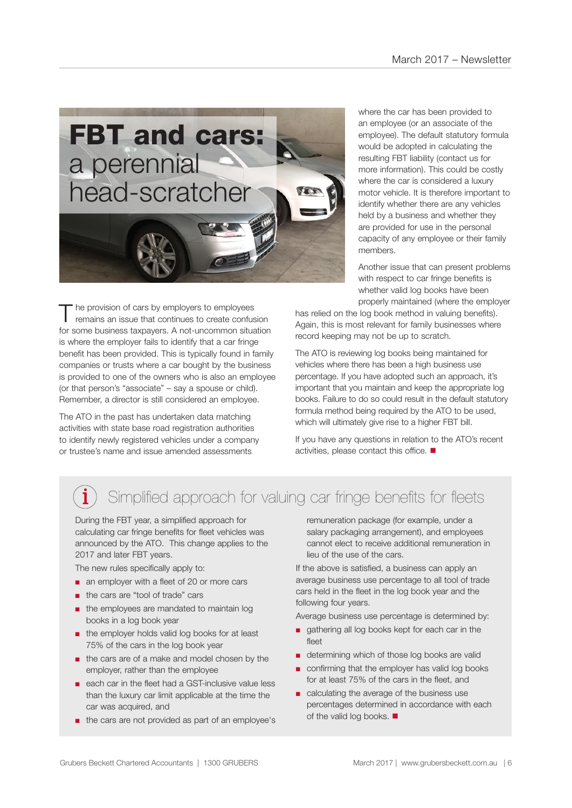

The provision of cars by employers to employees<br>
remains an issue that continues to create confusion for some business taxpayers. A not-uncommon situation is where the employer fails to identify that a car fringe benefit has been provided. This is typically found in family companies or trusts where a car bought by the business is provided to one of the owners who is also an employee (or that person's "associate" – say a spouse or child). Remember, a director is still considered an employee.

The ATO in the past has undertaken data matching activities with state base road registration authorities to identify newly registered vehicles under a company or trustee's name and issue amended assessments

where the car has been provided to an employee (or an associate of the employee). The default statutory formula would be adopted in calculating the resulting FBT liability (contact us for more information). This could be costly where the car is considered a luxury motor vehicle. It is therefore important to identify whether there are any vehicles held by a business and whether they are provided for use in the personal capacity of any employee or their family members.

Another issue that can present problems with respect to car fringe benefits is whether valid log books have been properly maintained (where the employer

has relied on the log book method in valuing benefits). Again, this is most relevant for family businesses where record keeping may not be up to scratch.

The ATO is reviewing log books being maintained for vehicles where there has been a high business use percentage. If you have adopted such an approach, it's important that you maintain and keep the appropriate log books. Failure to do so could result in the default statutory formula method being required by the ATO to be used, which will ultimately give rise to a higher FBT bill.

If you have any questions in relation to the ATO's recent activities, please contact this office.  $\blacksquare$ 

### Simplified approach for valuing car fringe benefits for fleets

During the FBT year, a simplified approach for calculating car fringe benefits for fleet vehicles was announced by the ATO. This change applies to the 2017 and later FBT years.

The new rules specifically apply to:

- an employer with a fleet of 20 or more cars
- the cars are "tool of trade" cars
- the employees are mandated to maintain log books in a log book year
- the employer holds valid log books for at least 75% of the cars in the log book year
- the cars are of a make and model chosen by the employer, rather than the employee
- each car in the fleet had a GST-inclusive value less than the luxury car limit applicable at the time the car was acquired, and
- the cars are not provided as part of an employee's

remuneration package (for example, under a salary packaging arrangement), and employees cannot elect to receive additional remuneration in lieu of the use of the cars.

If the above is satisfied, a business can apply an average business use percentage to all tool of trade cars held in the fleet in the log book year and the following four years.

Average business use percentage is determined by:

- gathering all log books kept for each car in the fleet
- determining which of those log books are valid
- confirming that the employer has valid log books for at least 75% of the cars in the fleet, and
- calculating the average of the business use percentages determined in accordance with each of the valid log books.  $\blacksquare$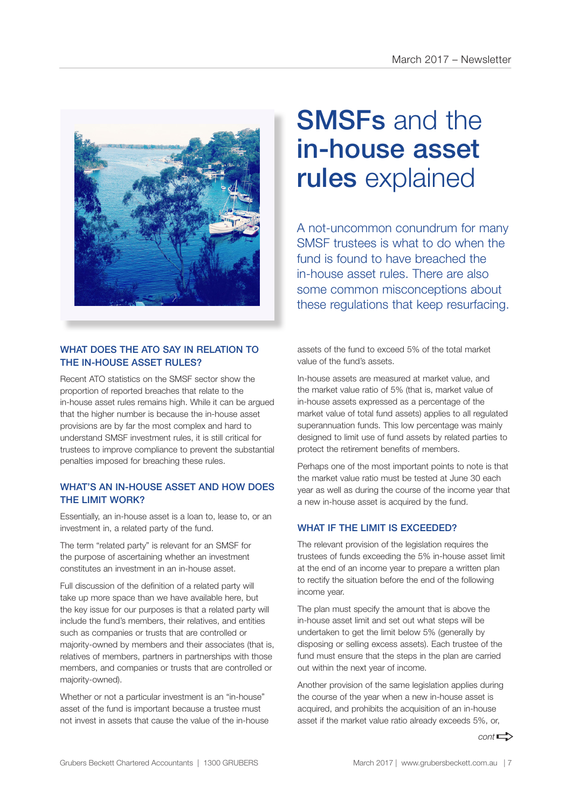

#### WHAT DOES THE ATO SAY IN RELATION TO THE IN-HOUSE ASSET RULES?

Recent ATO statistics on the SMSF sector show the proportion of reported breaches that relate to the in-house asset rules remains high. While it can be argued that the higher number is because the in-house asset provisions are by far the most complex and hard to understand SMSF investment rules, it is still critical for trustees to improve compliance to prevent the substantial penalties imposed for breaching these rules.

#### WHAT'S AN IN-HOUSE ASSET AND HOW DOES THE LIMIT WORK?

Essentially, an in-house asset is a loan to, lease to, or an investment in, a related party of the fund.

The term "related party" is relevant for an SMSF for the purpose of ascertaining whether an investment constitutes an investment in an in-house asset.

Full discussion of the definition of a related party will take up more space than we have available here, but the key issue for our purposes is that a related party will include the fund's members, their relatives, and entities such as companies or trusts that are controlled or majority-owned by members and their associates (that is, relatives of members, partners in partnerships with those members, and companies or trusts that are controlled or majority-owned).

Whether or not a particular investment is an "in-house" asset of the fund is important because a trustee must not invest in assets that cause the value of the in-house

## SMSFs and the in-house asset rules explained

A not-uncommon conundrum for many SMSF trustees is what to do when the fund is found to have breached the in-house asset rules. There are also some common misconceptions about these regulations that keep resurfacing.

assets of the fund to exceed 5% of the total market value of the fund's assets.

In-house assets are measured at market value, and the market value ratio of 5% (that is, market value of in-house assets expressed as a percentage of the market value of total fund assets) applies to all regulated superannuation funds. This low percentage was mainly designed to limit use of fund assets by related parties to protect the retirement benefits of members.

Perhaps one of the most important points to note is that the market value ratio must be tested at June 30 each year as well as during the course of the income year that a new in-house asset is acquired by the fund.

#### WHAT IF THE LIMIT IS EXCEEDED?

The relevant provision of the legislation requires the trustees of funds exceeding the 5% in-house asset limit at the end of an income year to prepare a written plan to rectify the situation before the end of the following income year.

The plan must specify the amount that is above the in-house asset limit and set out what steps will be undertaken to get the limit below 5% (generally by disposing or selling excess assets). Each trustee of the fund must ensure that the steps in the plan are carried out within the next year of income.

Another provision of the same legislation applies during the course of the year when a new in-house asset is acquired, and prohibits the acquisition of an in-house asset if the market value ratio already exceeds 5%, or,

 $cont \rightarrow$